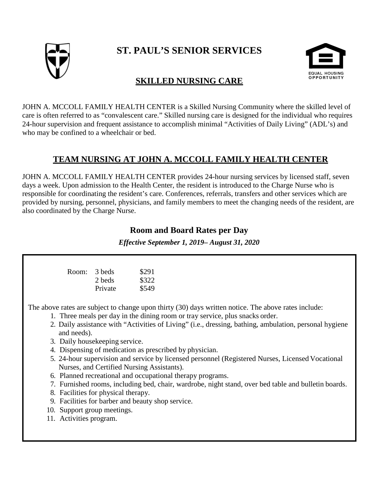

# **ST. PAUL'S SENIOR SERVICES**



### **SKILLED NURSING CARE**

JOHN A. MCCOLL FAMILY HEALTH CENTER is a Skilled Nursing Community where the skilled level of care is often referred to as "convalescent care." Skilled nursing care is designed for the individual who requires 24-hour supervision and frequent assistance to accomplish minimal "Activities of Daily Living" (ADL's) and who may be confined to a wheelchair or bed.

## **TEAM NURSING AT JOHN A. MCCOLL FAMILY HEALTH CENTER**

JOHN A. MCCOLL FAMILY HEALTH CENTER provides 24-hour nursing services by licensed staff, seven days a week. Upon admission to the Health Center, the resident is introduced to the Charge Nurse who is responsible for coordinating the resident's care. Conferences, referrals, transfers and other services which are provided by nursing, personnel, physicians, and family members to meet the changing needs of the resident, are also coordinated by the Charge Nurse.

#### **Room and Board Rates per Day**

*Effective September 1, 2019– August 31, 2020*

| Room: 3 beds |         | \$291 |
|--------------|---------|-------|
|              | 2 beds  | \$322 |
|              | Private | \$549 |

The above rates are subject to change upon thirty (30) days written notice. The above rates include:

- 1. Three meals per day in the dining room or tray service, plus snacks order.
- 2. Daily assistance with "Activities of Living" (i.e., dressing, bathing, ambulation, personal hygiene and needs).
- 3. Daily housekeeping service.
- 4. Dispensing of medication as prescribed by physician.
- 5. 24-hour supervision and service by licensed personnel (Registered Nurses, Licensed Vocational Nurses, and Certified Nursing Assistants).
- 6. Planned recreational and occupational therapy programs.
- 7. Furnished rooms, including bed, chair, wardrobe, night stand, over bed table and bulletin boards.
- 8. Facilities for physical therapy.
- 9. Facilities for barber and beauty shop service.
- 10. Support group meetings.
- 11. Activities program.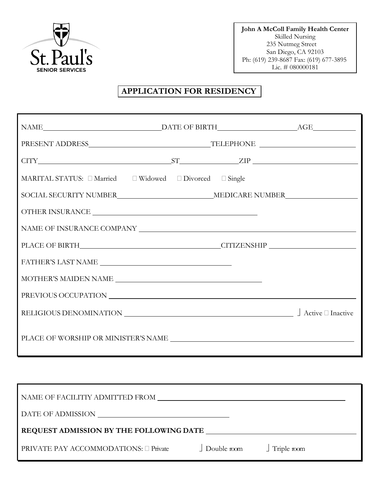

**John A McColl Family Health Center** Skilled Nursing 235 Nutmeg Street San Diego, CA 92103 Ph: (619) 239-8687 Fax: (619) 677-3895 Lic.  $\# 080000181$ 

### **APPLICATION FOR RESIDENCY**

| $\begin{minipage}{.4\linewidth} \textbf{DATE OF BIRTH}\textcolor{red}{_\textbf{L}} \textbf{AGE}\textcolor{red}{_\textbf{L}} \begin{minipage}{.4\linewidth} \textbf{AGE}\textcolor{red}{_\textbf{L}} \end{minipage} \begin{minipage}{.4\linewidth} \begin{minipage}{.4\linewidth} \textbf{DATE OF BIRTH}\textcolor{red}{_\textbf{L}} \end{minipage} \begin{minipage}{.4\linewidth} \begin{minipage}{.4\linewidth} \textbf{AGE}\textcolor{red}{_\textbf{L}} \end{minipage} \begin{minipage}{.4\linewidth} \begin{minipage}{.4\linewidth} \textbf{AG$ |  |  |
|----------------------------------------------------------------------------------------------------------------------------------------------------------------------------------------------------------------------------------------------------------------------------------------------------------------------------------------------------------------------------------------------------------------------------------------------------------------------------------------------------------------------------------------------------|--|--|
|                                                                                                                                                                                                                                                                                                                                                                                                                                                                                                                                                    |  |  |
| $CITY$ $ST$ $ZIP$                                                                                                                                                                                                                                                                                                                                                                                                                                                                                                                                  |  |  |
| MARITAL STATUS: $\Box$ Married $\Box$ Widowed $\Box$ Divorced $\Box$ Single                                                                                                                                                                                                                                                                                                                                                                                                                                                                        |  |  |
|                                                                                                                                                                                                                                                                                                                                                                                                                                                                                                                                                    |  |  |
|                                                                                                                                                                                                                                                                                                                                                                                                                                                                                                                                                    |  |  |
|                                                                                                                                                                                                                                                                                                                                                                                                                                                                                                                                                    |  |  |
|                                                                                                                                                                                                                                                                                                                                                                                                                                                                                                                                                    |  |  |
|                                                                                                                                                                                                                                                                                                                                                                                                                                                                                                                                                    |  |  |
| $\textbf{MOTHER'S MAIDEN NAME} \begin{minipage}{1.5\textwidth} \centering \begin{tabular}{ c c c c } \hline \textbf{MOTHER'S MAIDEN NAME} \end{tabular} \end{minipage} \end{minipage}$                                                                                                                                                                                                                                                                                                                                                             |  |  |
|                                                                                                                                                                                                                                                                                                                                                                                                                                                                                                                                                    |  |  |
|                                                                                                                                                                                                                                                                                                                                                                                                                                                                                                                                                    |  |  |
|                                                                                                                                                                                                                                                                                                                                                                                                                                                                                                                                                    |  |  |

| NAME OF FACILITIY ADMITTED FROM         |                    |                    |  |
|-----------------------------------------|--------------------|--------------------|--|
| DATE OF ADMISSION                       |                    |                    |  |
| REQUEST ADMISSION BY THE FOLLOWING DATE |                    |                    |  |
| PRIVATE PAY ACCOMMODATIONS: □ Private   | $\Box$ Double room | $\int$ Triple room |  |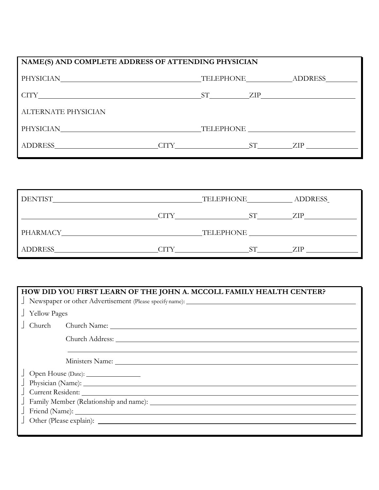| NAME(S) AND COMPLETE ADDRESS OF ATTENDING PHYSICIAN |  |  |                                                                             |
|-----------------------------------------------------|--|--|-----------------------------------------------------------------------------|
|                                                     |  |  |                                                                             |
|                                                     |  |  |                                                                             |
|                                                     |  |  |                                                                             |
|                                                     |  |  |                                                                             |
|                                                     |  |  |                                                                             |
|                                                     |  |  | TELEPHONE ADDRESS<br>$ST$ $ZIP$ $ZIP$<br>PHYSICIAN TELEPHONE<br>CITY ST ZIP |

| <b>DENTIST</b> |      | TELEPHONE | <b>ADDRESS</b> |
|----------------|------|-----------|----------------|
|                | ∩TTY |           | ZIP            |
| PHARMACY       |      | TELEPHONE |                |
| ADDRESS        | CITY |           | ZIP            |

| HOW DID YOU FIRST LEARN OF THE JOHN A. MCCOLL FAMILY HEALTH CENTER? |  |  |  |
|---------------------------------------------------------------------|--|--|--|
|                                                                     |  |  |  |
| <b>Yellow Pages</b>                                                 |  |  |  |
| Church Church Name:                                                 |  |  |  |
| Church Address:                                                     |  |  |  |
|                                                                     |  |  |  |
|                                                                     |  |  |  |
| Open House (Date): ________________                                 |  |  |  |
|                                                                     |  |  |  |
| Current Resident:                                                   |  |  |  |
|                                                                     |  |  |  |
|                                                                     |  |  |  |
|                                                                     |  |  |  |
|                                                                     |  |  |  |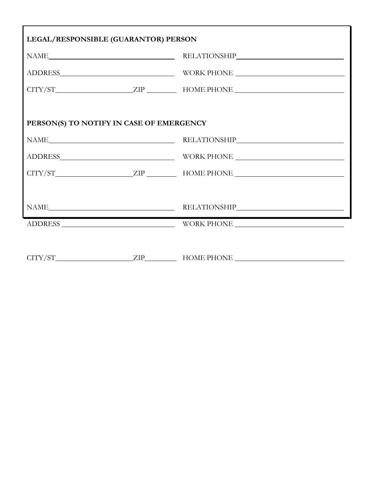| LEGAL/RESPONSIBLE (GUARANTOR) PERSON     |  |                                                                                                                                                                                                            |  |
|------------------------------------------|--|------------------------------------------------------------------------------------------------------------------------------------------------------------------------------------------------------------|--|
|                                          |  | $\begin{minipage}{.4\linewidth} \begin{tabular}{l} \bf{NAME} \end{tabular} \end{minipage} \begin{minipage}{.4\linewidth} \begin{tabular}{l} \bf{RELATIONSHIP} \end{tabular} \end{minipage} \end{minipage}$ |  |
|                                          |  |                                                                                                                                                                                                            |  |
|                                          |  | $CITY/ST$ $ZIP$ $HOME PHONE$ $MSE$                                                                                                                                                                         |  |
|                                          |  |                                                                                                                                                                                                            |  |
| PERSON(S) TO NOTIFY IN CASE OF EMERGENCY |  |                                                                                                                                                                                                            |  |
|                                          |  | $\begin{minipage}{.4\linewidth} \begin{tabular}{l} \bf{NAME} \end{tabular} \end{minipage} \begin{minipage}{.4\linewidth} \begin{tabular}{l} \bf{RELATIONSHIP} \end{tabular} \end{minipage}$                |  |
|                                          |  |                                                                                                                                                                                                            |  |
|                                          |  |                                                                                                                                                                                                            |  |
|                                          |  |                                                                                                                                                                                                            |  |
|                                          |  | $\begin{minipage}{.4\linewidth} \begin{tabular}{l} \bf{NAME}\end{tabular} \end{minipage} \begin{minipage}{.4\linewidth} \begin{tabular}{l} \bf{RELATIONSHIP}\end{tabular} \end{minipage} \end{minipage}$   |  |
|                                          |  |                                                                                                                                                                                                            |  |
|                                          |  |                                                                                                                                                                                                            |  |
|                                          |  |                                                                                                                                                                                                            |  |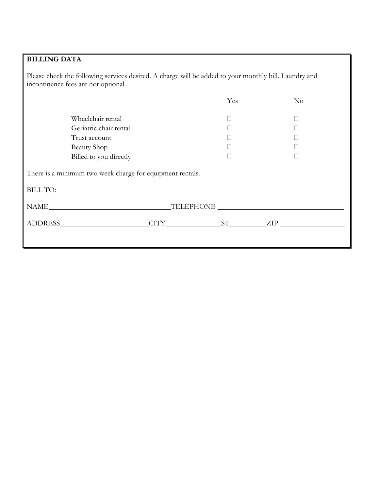## **BILLING DATA**

Please check the following services desired. A charge will be added to your monthly bill. Laundry and incontinence fees are not optional.

|                                                                              |  | Yes | No          |  |
|------------------------------------------------------------------------------|--|-----|-------------|--|
| Wheelchair rental                                                            |  |     |             |  |
| Geriatric chair rental                                                       |  |     |             |  |
| Trust account                                                                |  |     |             |  |
| <b>Beauty Shop</b>                                                           |  |     |             |  |
| Billed to you directly                                                       |  |     |             |  |
| There is a minimum two week charge for equipment rentals.<br><b>BILL TO:</b> |  |     |             |  |
|                                                                              |  |     |             |  |
| <b>ADDRESS</b> ADDRESS                                                       |  |     | CITY ST ZIP |  |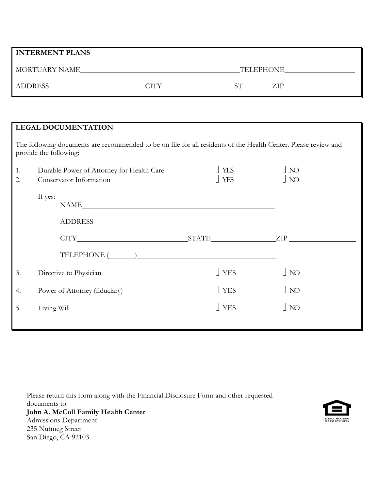|          | <b>INTERMENT PLANS</b>                                                                                                                    |                   |                                  |  |  |
|----------|-------------------------------------------------------------------------------------------------------------------------------------------|-------------------|----------------------------------|--|--|
|          |                                                                                                                                           |                   |                                  |  |  |
|          |                                                                                                                                           |                   |                                  |  |  |
|          |                                                                                                                                           |                   |                                  |  |  |
|          | <b>LEGAL DOCUMENTATION</b>                                                                                                                |                   |                                  |  |  |
|          | The following documents are recommended to be on file for all residents of the Health Center. Please review and<br>provide the following: |                   |                                  |  |  |
| 1.<br>2. | Durable Power of Attorney for Health Care<br>Conservator Information                                                                      | <b>YES</b><br>YES | $\overline{N}$<br>$\overline{N}$ |  |  |
|          | If yes:<br>NAME                                                                                                                           |                   |                                  |  |  |
|          |                                                                                                                                           |                   |                                  |  |  |
|          |                                                                                                                                           |                   |                                  |  |  |
|          |                                                                                                                                           |                   |                                  |  |  |
| 3.       | Directive to Physician                                                                                                                    | YES               | $\overline{N}$                   |  |  |
| 4.       | Power of Attorney (fiduciary)                                                                                                             | YES               | $\overline{N}$                   |  |  |
| 5.       | Living Will                                                                                                                               | $\perp$ YES       | $\overline{\phantom{a}}$ NO      |  |  |
|          |                                                                                                                                           |                   |                                  |  |  |

Please return this form along with the Financial Disclosure Form and other requested documents to: **John A. McColl Family Health Center** Admissions Department 235 Nutmeg Street San Diego, CA 92103